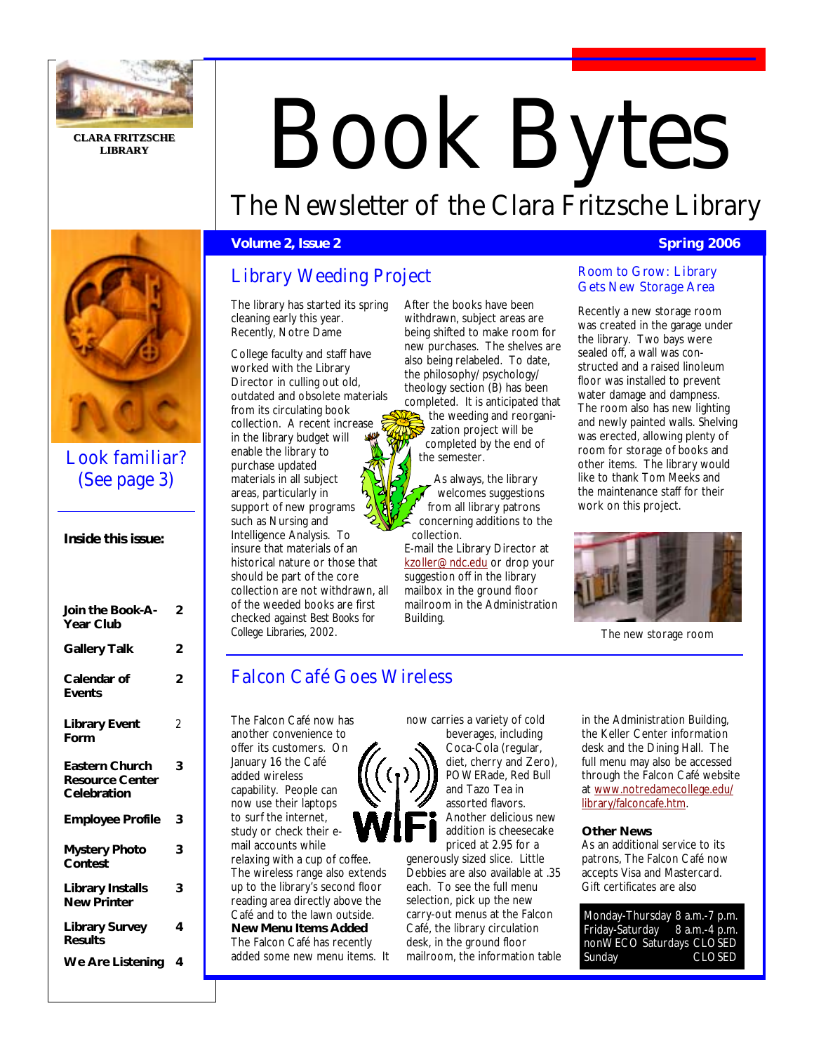

**CLARA FRITZSCHE CLARA LIBRARY**

# Book Bytes The Newsletter of the Clara Fritzsche Library

## **Volume 2, Issue 2 Spring 2006 Contract Contract Contract Contract Contract Contract Contract Contract Contract Contract Contract Contract Contract Contract Contract Contract Contract Contract Contract Contract Contract**

## Library Weeding Project

The library has started its spring cleaning early this year. Recently, Notre Dame

College faculty and staff have worked with the Library Director in culling out old, outdated and obsolete materials from its circulating book collection. A recent increase in the library budget will enable the library to purchase updated materials in all subject areas, particularly in support of new programs such as Nursing and Intelligence Analysis. To insure that materials of an historical nature or those that should be part of the core collection are not withdrawn, all of the weeded books are first Join the Book-A- 2 **Collage and Socks are instant than our**<br>Voor Club *College Libraries, 2002.*

After the books have been withdrawn, subject areas are being shifted to make room for new purchases. The shelves are also being relabeled. To date, the philosophy/ psychology/ theology section (B) has been completed. It is anticipated that the weeding and reorganization project will be completed by the end of the semester.

As always, the library welcomes suggestions from all library patrons concerning additions to the collection.

E-mail the Library Director at kzoller@ndc.edu or drop your suggestion off in the library mailbox in the ground floor mailroom in the Administration

#### Room to Grow: Library Gets New Storage Area

Recently a new storage room was created in the garage under the library. Two bays were sealed off, a wall was constructed and a raised linoleum floor was installed to prevent water damage and dampness. The room also has new lighting and newly painted walls. Shelving was erected, allowing plenty of room for storage of books and other items. The library would like to thank Tom Meeks and the maintenance staff for their work on this project.



The new storage room

## Falcon Café Goes Wireless

The Falcon Café now has another convenience to offer its customers. On January 16 the Café added wireless capability. People can now use their laptops to surf the internet, study or check their e-

mail accounts while relaxing with a cup of coffee. The wireless range also extends up to the library's second floor reading area directly above the Café and to the lawn outside. **New Menu Items Added**  The Falcon Café has recently added some new menu items. It now carries a variety of cold beverages, including Coca-Cola (regular, diet, cherry and Zero), POWERade, Red Bull and Tazo Tea in assorted flavors. Another delicious new addition is cheesecake priced at 2.95 for a

generously sized slice. Little Debbies are also available at .35 each. To see the full menu selection, pick up the new carry-out menus at the Falcon Café, the library circulation desk, in the ground floor mailroom, the information table

in the Administration Building, the Keller Center information desk and the Dining Hall. The full menu may also be accessed through the Falcon Café website at www.notredamecollege.edu/ library/falconcafe.htm.

#### **Other News**

As an additional service to its patrons, The Falcon Café now accepts Visa and Mastercard. Gift certificates are also

Monday-Thursday 8 a.m.-7 p.m. Friday-Saturday 8 a.m.-4 p.m. nonWECO Saturdays CLOSED Sunday **CLOSED** 



Look familiar? (See page 3)

|  |  | Inside this issue: |
|--|--|--------------------|
|--|--|--------------------|

| Join the Book-A-<br><b>Year Club</b>                           | 2              |
|----------------------------------------------------------------|----------------|
| <b>Gallery Talk</b>                                            | 2              |
| Calendar of<br><b>Events</b>                                   | $\overline{2}$ |
| <b>Library Event</b><br>Form                                   | 2              |
| <b>Eastern Church</b><br><b>Resource Center</b><br>Celebration | 3              |
| <b>Employee Profile</b>                                        | 3              |
| <b>Mystery Photo</b><br>Contest                                | 3              |
| <b>Library Installs</b><br><b>New Printer</b>                  | 3              |
| <b>Library Survey</b><br><b>Results</b>                        | 4              |
| <b>We Are Listening</b>                                        | 4              |

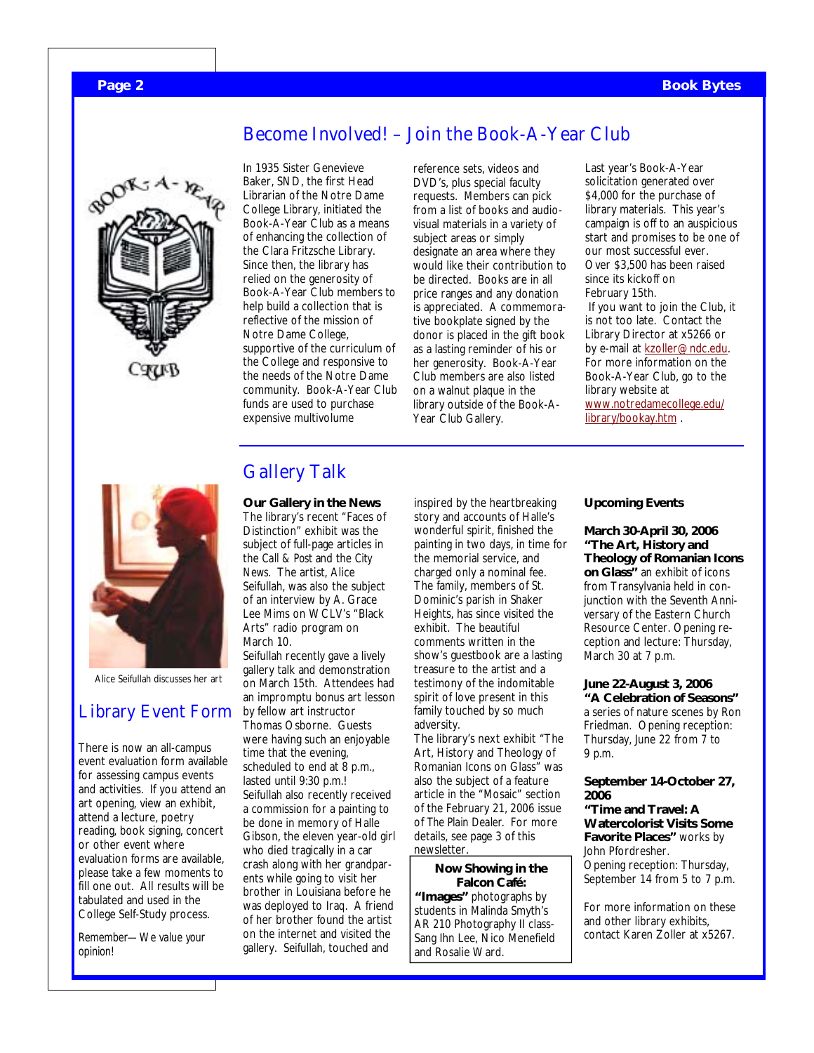### **Page 2 Book Bytes**



In 1935 Sister Genevieve Baker, SND, the first Head Librarian of the Notre Dame College Library, initiated the Book-A-Year Club as a means of enhancing the collection of the Clara Fritzsche Library. Since then, the library has relied on the generosity of Book-A-Year Club members to help build a collection that is reflective of the mission of Notre Dame College, supportive of the curriculum of the College and responsive to the needs of the Notre Dame community. Book-A-Year Club funds are used to purchase expensive multivolume

reference sets, videos and DVD's, plus special faculty requests. Members can pick from a list of books and audiovisual materials in a variety of subject areas or simply designate an area where they would like their contribution to be directed. Books are in all price ranges and any donation is appreciated. A commemorative bookplate signed by the donor is placed in the gift book as a lasting reminder of his or her generosity. Book-A-Year Club members are also listed on a walnut plaque in the library outside of the Book-A-Year Club Gallery.

Become Involved! – Join the Book-A-Year Club

Last year's Book-A-Year solicitation generated over \$4,000 for the purchase of library materials. This year's campaign is off to an auspicious start and promises to be one of our most successful ever. Over \$3,500 has been raised since its kickoff on February 15th. If you want to join the Club, it is not too late. Contact the Library Director at x5266 or by e-mail at kzoller@ndc.edu. For more information on the Book-A-Year Club, go to the library website at www.notredamecollege.edu/ library/bookay.htm .



Alice Seifullah discusses her art

## Library Event Form

There is now an all-campus event evaluation form available for assessing campus events and activities. If you attend an art opening, view an exhibit, attend a lecture, poetry reading, book signing, concert or other event where evaluation forms are available, please take a few moments to fill one out. All results will be tabulated and used in the College Self-Study process.

*Remember—We value your opinion!* 

## Gallery Talk

**Our Gallery in the News**  The library's recent "Faces of Distinction" exhibit was the subject of full-page articles in the *Call & Post* and the *City News*. The artist, Alice Seifullah, was also the subject of an interview by A. Grace Lee Mims on WCLV's "Black Arts" radio program on March 10.

Seifullah recently gave a lively gallery talk and demonstration on March 15th. Attendees had an impromptu bonus art lesson by fellow art instructor Thomas Osborne. Guests were having such an enjoyable time that the evening, scheduled to end at 8 p.m., lasted until 9:30 p.m.! Seifullah also recently received a commission for a painting to be done in memory of Halle Gibson, the eleven year-old girl who died tragically in a car crash along with her grandparents while going to visit her brother in Louisiana before he was deployed to Iraq. A friend of her brother found the artist on the internet and visited the gallery. Seifullah, touched and

inspired by the heartbreaking story and accounts of Halle's wonderful spirit, finished the painting in two days, in time for the memorial service, and charged only a nominal fee. The family, members of St. Dominic's parish in Shaker Heights, has since visited the exhibit. The beautiful comments written in the show's guestbook are a lasting treasure to the artist and a testimony of the indomitable spirit of love present in this family touched by so much adversity.

The library's next exhibit "The Art, History and Theology of Romanian Icons on Glass" was also the subject of a feature article in the "Mosaic" section of the February 21, 2006 issue of *The Plain Dealer.* For more details, see page 3 of this newsletter.

#### **Now Showing in the Falcon Café:**

**"Images"** photographs by students in Malinda Smyth's AR 210 Photography II class-Sang Ihn Lee, Nico Menefield and Rosalie Ward.

#### **Upcoming Events**

**March 30-April 30, 2006 "The Art, History and Theology of Romanian Icons on Glass"** an exhibit of icons from Transylvania held in conjunction with the Seventh Anniversary of the Eastern Church Resource Center. Opening reception and lecture: Thursday, March 30 at 7 p.m.

**June 22-August 3, 2006 "A Celebration of Seasons"**  a series of nature scenes by Ron Friedman. Opening reception: Thursday, June 22 from 7 to 9 p.m.

#### **September 14-October 27, 2006**

**"Time and Travel: A Watercolorist Visits Some Favorite Places"** works by John Pfordresher. Opening reception: Thursday, September 14 from 5 to 7 p.m.

For more information on these and other library exhibits, contact Karen Zoller at x5267.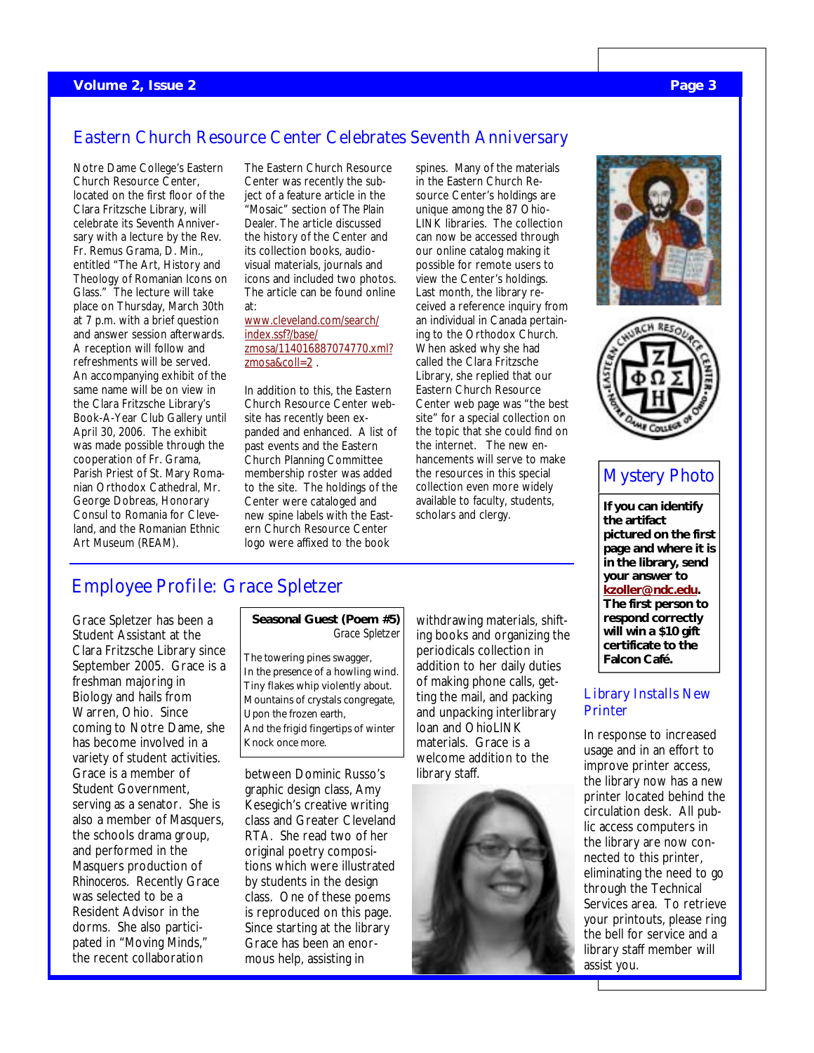## Eastern Church Resource Center Celebrates Seventh Anniversary

Notre Dame College's Eastern Church Resource Center, located on the first floor of the Clara Fritzsche Library, will celebrate its Seventh Anniversary with a lecture by the Rev. Fr. Remus Grama, D. Min., entitled "The Art, History and Theology of Romanian Icons on Glass." The lecture will take place on Thursday, March 30th at 7 p.m. with a brief question and answer session afterwards. A reception will follow and refreshments will be served. An accompanying exhibit of the same name will be on view in the Clara Fritzsche Library's Book-A-Year Club Gallery until April 30, 2006. The exhibit was made possible through the cooperation of Fr. Grama, Parish Priest of St. Mary Romanian Orthodox Cathedral, Mr. George Dobreas, Honorary Consul to Romania for Cleveland, and the Romanian Ethnic Art Museum (REAM).

The Eastern Church Resource Center was recently the subject of a feature article in the "Mosaic" section of *The Plain Dealer.* The article discussed the history of the Center and its collection books, audiovisual materials, journals and icons and included two photos. The article can be found online at:

www.cleveland.com/search/ index.ssf?/base/ zmosa/114016887074770.xml? zmosa&coll=2 .

In addition to this, the Eastern Church Resource Center website has recently been expanded and enhanced. A list of past events and the Eastern Church Planning Committee membership roster was added to the site. The holdings of the Center were cataloged and new spine labels with the Eastern Church Resource Center logo were affixed to the book

spines. Many of the materials in the Eastern Church Resource Center's holdings are unique among the 87 Ohio-LINK libraries. The collection can now be accessed through our online catalog making it possible for remote users to view the Center's holdings. Last month, the library received a reference inquiry from an individual in Canada pertaining to the Orthodox Church. When asked why she had called the Clara Fritzsche Library, she replied that our Eastern Church Resource Center web page was "the best site" for a special collection on the topic that she could find on the internet. The new enhancements will serve to make the resources in this special collection even more widely available to faculty, students, scholars and clergy.





## Mystery Photo

**If you can identify the artifact pictured on the first page and where it is in the library, send your answer to kzoller@ndc.edu. The first person to respond correctly will win a \$10 gift certificate to the Falcon Café.** 

#### Library Installs New **Printer**

In response to increased usage and in an effort to improve printer access, the library now has a new printer located behind the circulation desk. All public access computers in the library are now connected to this printer, eliminating the need to go through the Technical Services area. To retrieve your printouts, please ring the bell for service and a library staff member will assist you.

## Employee Profile: Grace Spletzer

Grace Spletzer has been a Student Assistant at the Clara Fritzsche Library since September 2005. Grace is a freshman majoring in Biology and hails from Warren, Ohio. Since coming to Notre Dame, she has become involved in a variety of student activities. Grace is a member of Student Government, serving as a senator. She is also a member of Masquers, the schools drama group, and performed in the Masquers production of *Rhinoceros*. Recently Grace was selected to be a Resident Advisor in the dorms. She also participated in "Moving Minds," the recent collaboration

#### **Seasonal Guest (Poem #5)**  *Grace Spletzer*

The towering pines swagger, In the presence of a howling wind. Tiny flakes whip violently about. Mountains of crystals congregate, Upon the frozen earth, And the frigid fingertips of winter Knock once more.

between Dominic Russo's graphic design class, Amy Kesegich's creative writing class and Greater Cleveland RTA. She read two of her original poetry compositions which were illustrated by students in the design class. One of these poems is reproduced on this page. Since starting at the library Grace has been an enormous help, assisting in

withdrawing materials, shifting books and organizing the periodicals collection in addition to her daily duties of making phone calls, getting the mail, and packing and unpacking interlibrary loan and OhioLINK materials. Grace is a welcome addition to the library staff.